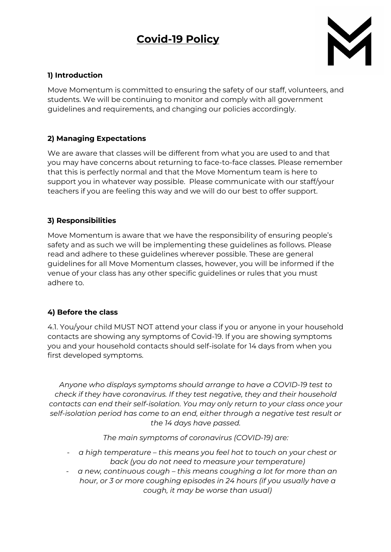# **Covid-19 Policy**



## **1) Introduction**

Move Momentum is committed to ensuring the safety of our staff, volunteers, and students. We will be continuing to monitor and comply with all government guidelines and requirements, and changing our policies accordingly.

## **2) Managing Expectations**

We are aware that classes will be different from what you are used to and that you may have concerns about returning to face-to-face classes. Please remember that this is perfectly normal and that the Move Momentum team is here to support you in whatever way possible. Please communicate with our staff/your teachers if you are feeling this way and we will do our best to offer support.

## **3) Responsibilities**

Move Momentum is aware that we have the responsibility of ensuring people's safety and as such we will be implementing these guidelines as follows. Please read and adhere to these guidelines wherever possible. These are general guidelines for all Move Momentum classes, however, you will be informed if the venue of your class has any other specific guidelines or rules that you must adhere to.

## **4) Before the class**

4.1. You/your child MUST NOT attend your class if you or anyone in your household contacts are showing any symptoms of Covid-19. If you are showing symptoms you and your household contacts should self-isolate for 14 days from when you first developed symptoms.

*Anyone who displays symptoms should arrange to have a COVID-19 test to check if they have coronavirus. If they test negative, they and their household contacts can end their self-isolation. You may only return to your class once your self-isolation period has come to an end, either through a negative test result or the 14 days have passed.*

*The main symptoms of coronavirus (COVID-19) are:*

- *a high temperature – this means you feel hot to touch on your chest or back (you do not need to measure your temperature)*
- *a new, continuous cough – this means coughing a lot for more than an hour, or 3 or more coughing episodes in 24 hours (if you usually have a cough, it may be worse than usual)*